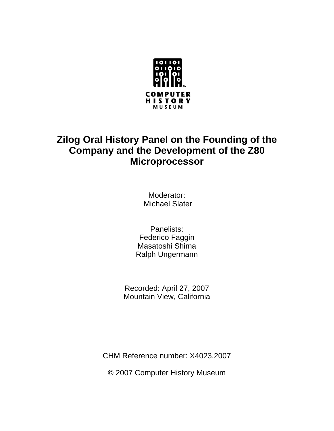

## **Zilog Oral History Panel on the Founding of the Company and the Development of the Z80 Microprocessor**

Moderator: Michael Slater

Panelists: Federico Faggin Masatoshi Shima Ralph Ungermann

Recorded: April 27, 2007 Mountain View, California

CHM Reference number: X4023.2007

© 2007 Computer History Museum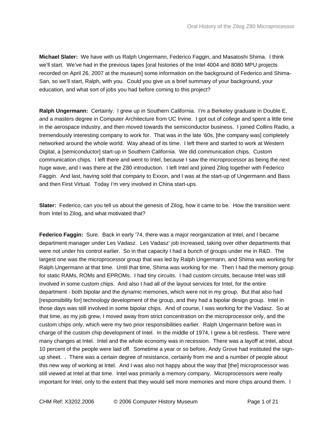**Michael Slater:** We have with us Ralph Ungermann, Federico Faggin, and Masatoshi Shima. I think we'll start. We've had in the previous tapes [oral histories of the Intel 4004 and 8080 MPU projects recorded on April 26, 2007 at the museum] some information on the background of Federico and Shima-San, so we'll start, Ralph, with you. Could you give us a brief summary of your background, your education, and what sort of jobs you had before coming to this project?

**Ralph Ungermann:** Certainly. I grew up in Southern California. I'm a Berkeley graduate in Double E, and a masters degree in Computer Architecture from UC Irvine. I got out of college and spent a little time in the aerospace industry, and then moved towards the semiconductor business. I joined Collins Radio, a tremendously interesting company to work for. That was in the late '60s, [the company was] completely networked around the whole world. Way ahead of its time. I left there and started to work at Western Digital, a [semiconductor] start-up in Southern California. We did communication chips. Custom communication chips. I left there and went to Intel, because I saw the microprocessor as being the next huge wave, and I was there at the Z80 introduction. I left Intel and joined Zilog together with Federico Faggin. And last, having sold that company to Exxon, and I was at the start-up of Ungermann and Bass and then First Virtual. Today I'm very involved in China start-ups.

**Slater:** Federico, can you tell us about the genesis of Zilog, how it came to be. How the transition went from Intel to Zilog, and what motivated that?

**Federico Faggin:** Sure. Back in early '74, there was a major reorganization at Intel, and I became department manager under Les Vadasz. Les Vadasz' job increased, taking over other departments that were not under his control earlier. So in that capacity I had a bunch of groups under me in R&D. The largest one was the microprocessor group that was led by Ralph Ungermann, and Shima was working for Ralph Ungermann at that time. Until that time, Shima was working for me. Then I had the memory group for static RAMs, ROMs and EPROMs. I had tiny circuits. I had custom circuits, because Intel was still involved in some custom chips. And also I had all of the layout services for Intel, for the entire department - both bipolar and the dynamic memories, which were not in my group. But that also had [responsibility for] technology development of the group, and they had a bipolar design group. Intel in those days was still involved in some bipolar chips. And of course, I was working for the Vadasz. So at that time, as my job grew, I moved away from strict concentration on the microprocessor only, and the custom chips only, which were my two prior responsibilities earlier. Ralph Ungermann before was in charge of the custom chip development of Intel. In the middle of 1974, I grew a bit restless. There were many changes at Intel. Intel and the whole economy was in recession. There was a layoff at Intel, about 10 percent of the people were laid off. Sometime a year or so before, Andy Grove had instituted the signup sheet. . There was a certain degree of resistance, certainly from me and a number of people about this new way of working at Intel. And I was also not happy about the way that [the] microprocessor was still viewed at Intel at that time. Intel was primarily a memory company. Microprocessors were really important for Intel, only to the extent that they would sell more memories and more chips around them. I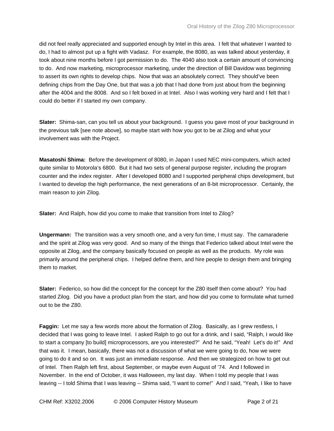did not feel really appreciated and supported enough by Intel in this area. I felt that whatever I wanted to do, I had to almost put up a fight with Vadasz. For example, the 8080, as was talked about yesterday, it took about nine months before I got permission to do. The 4040 also took a certain amount of convincing to do. And now marketing, microprocessor marketing, under the direction of Bill Davidow was beginning to assert its own rights to develop chips. Now that was an absolutely correct. They should've been defining chips from the Day One, but that was a job that I had done from just about from the beginning after the 4004 and the 8008. And so I felt boxed in at Intel. Also I was working very hard and I felt that I could do better if I started my own company.

**Slater:** Shima-san, can you tell us about your background. I guess you gave most of your background in the previous talk [see note above], so maybe start with how you got to be at Zilog and what your involvement was with the Project.

**Masatoshi Shima:** Before the development of 8080, in Japan I used NEC mini-computers, which acted quite similar to Motorola's 6800. But it had two sets of general purpose register, including the program counter and the index register. After I developed 8080 and I supported peripheral chips development, but I wanted to develop the high performance, the next generations of an 8-bit microprocessor. Certainly, the main reason to join Zilog.

**Slater:** And Ralph, how did you come to make that transition from Intel to Zilog?

**Ungermann:** The transition was a very smooth one, and a very fun time, I must say. The camaraderie and the spirit at Zilog was very good. And so many of the things that Federico talked about Intel were the opposite at Zilog, and the company basically focused on people as well as the products. My role was primarily around the peripheral chips. I helped define them, and hire people to design them and bringing them to market.

**Slater:** Federico, so how did the concept for the concept for the Z80 itself then come about? You had started Zilog. Did you have a product plan from the start, and how did you come to formulate what turned out to be the Z80.

**Faggin:** Let me say a few words more about the formation of Zilog. Basically, as I grew restless, I decided that I was going to leave Intel. I asked Ralph to go out for a drink, and I said, "Ralph, I would like to start a company [to build] microprocessors, are you interested?" And he said, "Yeah! Let's do it!" And that was it. I mean, basically, there was not a discussion of what we were going to do, how we were going to do it and so on. It was just an immediate response. And then we strategized on how to get out of Intel. Then Ralph left first, about September, or maybe even August of '74. And I followed in November. In the end of October, it was Halloween, my last day. When I told my people that I was leaving -- I told Shima that I was leaving -- Shima said, "I want to come!" And I said, "Yeah, I like to have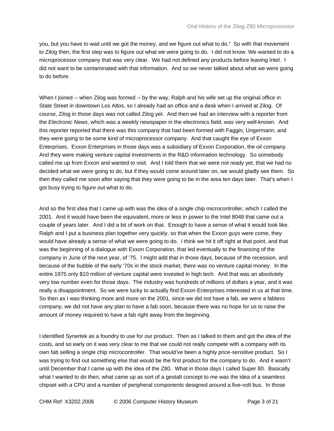you, but you have to wait until we got the money, and we figure out what to do." So with that movement to Zilog then, the first step was to figure out what we were going to do. I did not know. We wanted to do a microprocessor company that was very clear. We had not defined any products before leaving Intel. I did not want to be contaminated with that information. And so we never talked about what we were going to do before.

When I joined -- when Zilog was formed -- by the way, Ralph and his wife set up the original office in State Street in downtown Los Altos, so I already had an office and a desk when I arrived at Zilog. Of course, Zilog in those days was not called Zilog yet. And then we had an interview with a reporter from the *Electronic News*, which was a weekly newspaper in the electronics field, was very well-known. And this reporter reported that there was this company that had been formed with Faggin, Ungermann, and they were going to be some kind of microprocessor company. And that caught the eye of Exxon Enterprises. Exxon Enterprises in those days was a subsidiary of Exxon Corporation, the oil company. And they were making venture capital investments in the R&D information technology. So somebody called me up from Exxon and wanted to visit. And I told them that we were not ready yet, that we had no decided what we were going to do, but if they would come around later on, we would gladly see them. So then they called me soon after saying that they were going to be in the area ten days later. That's when I got busy trying to figure out what to do.

And so the first idea that I came up with was the idea of a single chip microcontroller, which I called the 2001. And it would have been the equivalent, more or less in power to the Intel 8048 that came out a couple of years later. And I did a bit of work on that. Enough to have a sense of what it would look like. Ralph and I put a business plan together very quickly, so that when the Exxon guys were come, they would have already a sense of what we were going to do. I think we hit it off right at that point, and that was the beginning of a dialogue with Exxon Corporation, that led eventually to the financing of the company in June of the next year, of '75. I might add that in those days, because of the recession, and because of the bubble of the early '70s in the stock market, there was no venture capital money. In the entire 1975 only \$10 million of venture capital were invested in high tech. And that was an absolutely very low number even for those days. The industry was hundreds of millions of dollars a year, and it was really a disappointment. So we were lucky to actually find Exxon Enterprises interested in us at that time. So then as I was thinking more and more on the 2001, since we did not have a fab, we were a fabless company, we did not have any plan to have a fab soon, because there was no hope for us to raise the amount of money required to have a fab right away from the beginning.

I identified Synertek as a foundry to use for our product. Then as I talked to them and got the idea of the costs, and so early on it was very clear to me that we could not really compete with a company with its own fab selling a single chip microcontroller. That would've been a highly price-sensitive product. So I was trying to find out something else that would be the first product for the company to do. And it wasn't until December that I came up with the idea of the Z80. What in those days I called Super 80. Basically what I wanted to do then, what came up as sort of a gestalt concept to me was the idea of a seamless chipset with a CPU and a number of peripheral components designed around a five-volt bus. In those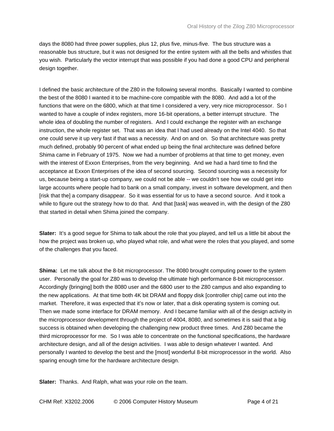days the 8080 had three power supplies, plus 12, plus five, minus-five. The bus structure was a reasonable bus structure, but it was not designed for the entire system with all the bells and whistles that you wish. Particularly the vector interrupt that was possible if you had done a good CPU and peripheral design together.

I defined the basic architecture of the Z80 in the following several months. Basically I wanted to combine the best of the 8080 I wanted it to be machine-core compatible with the 8080. And add a lot of the functions that were on the 6800, which at that time I considered a very, very nice microprocessor. So I wanted to have a couple of index registers, more 16-bit operations, a better interrupt structure. The whole idea of doubling the number of registers. And I could exchange the register with an exchange instruction, the whole register set. That was an idea that I had used already on the Intel 4040. So that one could serve it up very fast if that was a necessity. And on and on. So that architecture was pretty much defined, probably 90 percent of what ended up being the final architecture was defined before Shima came in February of 1975. Now we had a number of problems at that time to get money, even with the interest of Exxon Enterprises, from the very beginning. And we had a hard time to find the acceptance at Exxon Enterprises of the idea of second sourcing. Second sourcing was a necessity for us, because being a start-up company, we could not be able -- we couldn't see how we could get into large accounts where people had to bank on a small company, invest in software development, and then [risk that the] a company disappear. So it was essential for us to have a second source. And it took a while to figure out the strategy how to do that. And that [task] was weaved in, with the design of the Z80 that started in detail when Shima joined the company.

**Slater:** It's a good segue for Shima to talk about the role that you played, and tell us a little bit about the how the project was broken up, who played what role, and what were the roles that you played, and some of the challenges that you faced.

**Shima:** Let me talk about the 8-bit microprocessor. The 8080 brought computing power to the system user. Personally the goal for Z80 was to develop the ultimate high performance 8-bit microprocessor. Accordingly {bringing] both the 8080 user and the 6800 user to the Z80 campus and also expanding to the new applications. At that time both 4K bit DRAM and floppy disk [controller chip] came out into the market. Therefore, it was expected that it's now or later, that a disk operating system is coming out. Then we made some interface for DRAM memory. And I became familiar with all of the design activity in the microprocessor development through the project of 4004, 8080, and sometimes it is said that a big success is obtained when developing the challenging new product three times. And Z80 became the third microprocessor for me. So I was able to concentrate on the functional specifications, the hardware architecture design, and all of the design activities. I was able to design whatever I wanted. And personally I wanted to develop the best and the [most] wonderful 8-bit microprocessor in the world. Also sparing enough time for the hardware architecture design.

**Slater:** Thanks. And Ralph, what was your role on the team.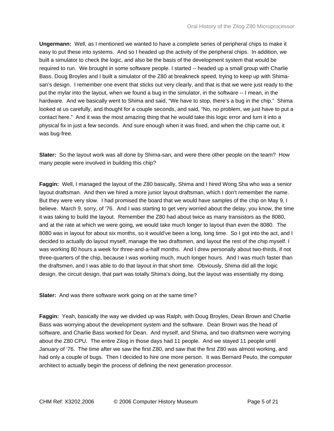**Ungermann:** Well, as I mentioned we wanted to have a complete series of peripheral chips to make it easy to put these into systems. And so I headed up the activity of the peripheral chips. In addition, we built a simulator to check the logic, and also be the basis of the development system that would be required to run. We brought in some software people. I started -- headed up a small group with Charlie Bass. Doug Broyles and I built a simulator of the Z80 at breakneck speed, trying to keep up with Shimasan's design. I remember one event that sticks out very clearly, and that is that we were just ready to the put the mylar into the layout, when we found a bug in the simulator, in the software -- I mean, in the hardware. And we basically went to Shima and said, "We have to stop, there's a bug in the chip." Shima looked at us carefully, and thought for a couple seconds, and said, "No, no problem, we just have to put a contact here." And it was the most amazing thing that he would take this logic error and turn it into a physical fix in just a few seconds. And sure enough when it was fixed, and when the chip came out, it was bug-free.

**Slater:** So the layout work was all done by Shima-san, and were there other people on the team? How many people were involved in building this chip?

**Faggin:** Well, I managed the layout of the Z80 basically, Shima and I hired Wong Sha who was a senior layout draftsman. And then we hired a more junior layout draftsman, which I don't remember the name. But they were very slow. I had promised the board that we would have samples of the chip on May 9, I believe. March 9, sorry, of '76. And I was starting to get very worried about the delay, you know, the time it was taking to build the layout. Remember the Z80 had about twice as many transistors as the 8080, and at the rate at which we were going, we would take much longer to layout than even the 8080. The 8080 was in layout for about six months, so it would've been a long, long time. So I got into the act, and I decided to actually do layout myself, manage the two draftsmen, and layout the rest of the chip myself. I was working 80 hours a week for three-and-a-half months. And I drew personally about two-thirds, if not three-quarters of the chip, because I was working much, much longer hours. And I was much faster than the draftsmen, and I was able to do that layout in that short time. Obviously, Shima did all the logic design, the circuit design, that part was totally Shima's doing, but the layout was essentially my doing.

**Slater:** And was there software work going on at the same time?

**Faggin:** Yeah, basically the way we divided up was Ralph, with Doug Broyles, Dean Brown and Charlie Bass was worrying about the development system and the software. Dean Brown was the head of software, and Charlie Bass worked for Dean. And myself, and Shima, and two draftsmen were worrying about the Z80 CPU. The entire Zilog in those days had 11 people. And we stayed 11 people until January of '76. The time after we saw the first Z80, and saw that the first Z80 was almost working, and had only a couple of bugs. Then I decided to hire one more person. It was Bernard Peuto, the computer architect to actually begin the process of defining the next generation processor.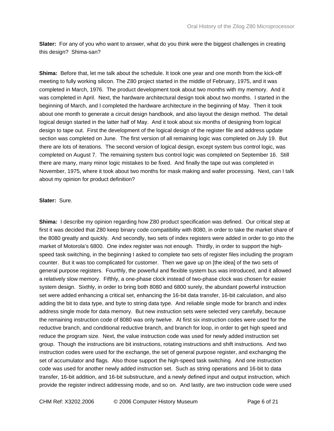**Slater:** For any of you who want to answer, what do you think were the biggest challenges in creating this design? Shima-san?

**Shima:** Before that, let me talk about the schedule. It took one year and one month from the kick-off meeting to fully working silicon. The Z80 project started in the middle of February, 1975, and it was completed in March, 1976. The product development took about two months with my memory. And it was completed in April. Next, the hardware architectural design took about two months. I started in the beginning of March, and I completed the hardware architecture in the beginning of May. Then it took about one month to generate a circuit design handbook, and also layout the design method. The detail logical design started in the latter half of May. And it took about six months of designing from logical design to tape out. First the development of the logical design of the register file and address update section was completed on June. The first version of all remaining logic was completed on July 19. But there are lots of iterations. The second version of logical design, except system bus control logic, was completed on August 7. The remaining system bus control logic was completed on September 16. Still there are many, many minor logic mistakes to be fixed. And finally the tape out was completed in November, 1975, where it took about two months for mask making and wafer processing. Next, can I talk about my opinion for product definition?

## **Slater:** Sure.

**Shima:** I describe my opinion regarding how Z80 product specification was defined. Our critical step at first it was decided that Z80 keep binary code compatibility with 8080, in order to take the market share of the 8080 greatly and quickly. And secondly, two sets of index registers were added in order to go into the market of Motorola's 6800. One index register was not enough. Thirdly, in order to support the highspeed task switching, in the beginning I asked to complete two sets of register files including the program counter. But it was too complicated for customer. Then we gave up on [the idea] of the two sets of general purpose registers. Fourthly, the powerful and flexible system bus was introduced, and it allowed a relatively slow memory. Fifthly, a one-phase clock instead of two-phase clock was chosen for easier system design. Sixthly, in order to bring both 8080 and 6800 surely, the abundant powerful instruction set were added enhancing a critical set, enhancing the 16-bit data transfer, 16-bit calculation, and also adding the bit to data type, and byte to string data type. And reliable single mode for branch and index address single mode for data memory. But new instruction sets were selected very carefully, because the remaining instruction code of 8080 was only twelve. At first six instruction codes were used for the reductive branch, and conditional reductive branch, and branch for loop, in order to get high speed and reduce the program size. Next, the value instruction code was used for newly added instruction set group. Though the instructions are bit instructions, rotating instructions and shift instructions. And two instruction codes were used for the exchange, the set of general purpose register, and exchanging the set of accumulator and flags. Also those support the high-speed task switching. And one instruction code was used for another newly added instruction set. Such as string operations and 16-bit to data transfer, 16-bit addition, and 16-bit substructure, and a newly defined input and output instruction, which provide the register indirect addressing mode, and so on. And lastly, are two instruction code were used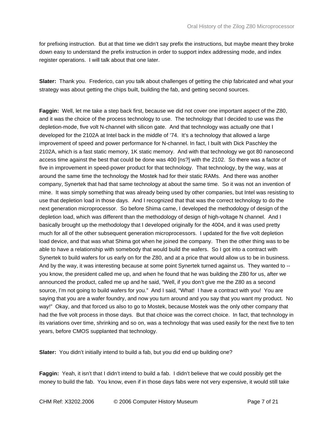for prefixing instruction. But at that time we didn't say prefix the instructions, but maybe meant they broke down easy to understand the prefix instruction in order to support index addressing mode, and index register operations. I will talk about that one later.

**Slater:** Thank you. Frederico, can you talk about challenges of getting the chip fabricated and what your strategy was about getting the chips built, building the fab, and getting second sources.

**Faggin:** Well, let me take a step back first, because we did not cover one important aspect of the Z80, and it was the choice of the process technology to use. The technology that I decided to use was the depletion-mode, five volt N-channel with silicon gate. And that technology was actually one that I developed for the 2102A at Intel back in the middle of '74. It's a technology that allowed a large improvement of speed and power performance for N-channel. In fact, I built with Dick Paschley the 2102A, which is a fast static memory, 1K static memory. And with that technology we got 80 nanosecond access time against the best that could be done was 400 [ns?] with the 2102. So there was a factor of five in improvement in speed-power product for that technology. That technology, by the way, was at around the same time the technology the Mostek had for their static RAMs. And there was another company, Synertek that had that same technology at about the same time. So it was not an invention of mine. It was simply something that was already being used by other companies, but Intel was resisting to use that depletion load in those days. And I recognized that that was the correct technology to do the next generation microprocessor. So before Shima came, I developed the methodology of design of the depletion load, which was different than the methodology of design of high-voltage N channel. And I basically brought up the methodology that I developed originally for the 4004, and it was used pretty much for all of the other subsequent generation microprocessors. I updated for the five volt depletion load device, and that was what Shima got when he joined the company. Then the other thing was to be able to have a relationship with somebody that would build the wafers. So I got into a contract with Synertek to build wafers for us early on for the Z80, and at a price that would allow us to be in business. And by the way, it was interesting because at some point Synertek turned against us. They wanted to - you know, the president called me up, and when he found that he was building the Z80 for us, after we announced the product, called me up and he said, "Well, if you don't give me the Z80 as a second source, I'm not going to build wafers for you." And I said, "What! I have a contract with you! You are saying that you are a wafer foundry, and now you turn around and you say that you want my product. No way!" Okay, and that forced us also to go to Mostek, because Mostek was the only other company that had the five volt process in those days. But that choice was the correct choice. In fact, that technology in its variations over time, shrinking and so on, was a technology that was used easily for the next five to ten years, before CMOS supplanted that technology.

**Slater:** You didn't initially intend to build a fab, but you did end up building one?

**Faggin:** Yeah, it isn't that I didn't intend to build a fab. I didn't believe that we could possibly get the money to build the fab. You know, even if in those days fabs were not very expensive, it would still take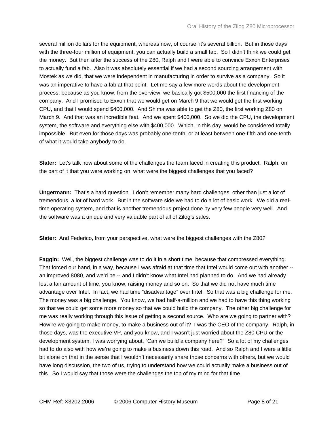several million dollars for the equipment, whereas now, of course, it's several billion. But in those days with the three-four million of equipment, you can actually build a small fab. So I didn't think we could get the money. But then after the success of the Z80, Ralph and I were able to convince Exxon Enterprises to actually fund a fab. Also it was absolutely essential if we had a second sourcing arrangement with Mostek as we did, that we were independent in manufacturing in order to survive as a company. So it was an imperative to have a fab at that point. Let me say a few more words about the development process, because as you know, from the overview, we basically got \$500,000 the first financing of the company. And I promised to Exxon that we would get on March 9 that we would get the first working CPU, and that I would spend \$400,000. And Shima was able to get the Z80, the first working Z80 on March 9. And that was an incredible feat. And we spent \$400,000. So we did the CPU, the development system, the software and everything else with \$400,000. Which, in this day, would be considered totally impossible. But even for those days was probably one-tenth, or at least between one-fifth and one-tenth of what it would take anybody to do.

**Slater:** Let's talk now about some of the challenges the team faced in creating this product. Ralph, on the part of it that you were working on, what were the biggest challenges that you faced?

**Ungermann:** That's a hard question. I don't remember many hard challenges, other than just a lot of tremendous, a lot of hard work. But in the software side we had to do a lot of basic work. We did a realtime operating system, and that is another tremendous project done by very few people very well. And the software was a unique and very valuable part of all of Zilog's sales.

**Slater:** And Federico, from your perspective, what were the biggest challenges with the Z80?

**Faggin:** Well, the biggest challenge was to do it in a short time, because that compressed everything. That forced our hand, in a way, because I was afraid at that time that Intel would come out with another - an improved 8080, and we'd be -- and I didn't know what Intel had planned to do. And we had already lost a fair amount of time, you know, raising money and so on. So that we did not have much time advantage over Intel. In fact, we had time "disadvantage" over Intel. So that was a big challenge for me. The money was a big challenge. You know, we had half-a-million and we had to have this thing working so that we could get some more money so that we could build the company. The other big challenge for me was really working through this issue of getting a second source. Who are we going to partner with? How're we going to make money, to make a business out of it? I was the CEO of the company. Ralph, in those days, was the executive VP, and you know, and I wasn't just worried about the Z80 CPU or the development system, I was worrying about, "Can we build a company here?" So a lot of my challenges had to do also with how we're going to make a business down this road. And so Ralph and I were a little bit alone on that in the sense that I wouldn't necessarily share those concerns with others, but we would have long discussion, the two of us, trying to understand how we could actually make a business out of this. So I would say that those were the challenges the top of my mind for that time.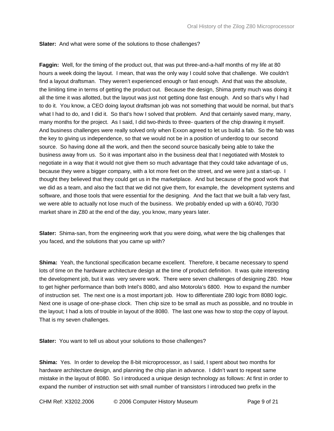**Slater:** And what were some of the solutions to those challenges?

**Faggin:** Well, for the timing of the product out, that was put three-and-a-half months of my life at 80 hours a week doing the layout. I mean, that was the only way I could solve that challenge. We couldn't find a layout draftsman. They weren't experienced enough or fast enough. And that was the absolute, the limiting time in terms of getting the product out. Because the design, Shima pretty much was doing it all the time it was allotted, but the layout was just not getting done fast enough. And so that's why I had to do it. You know, a CEO doing layout draftsman job was not something that would be normal, but that's what I had to do, and I did it. So that's how I solved that problem. And that certainly saved many, many, many months for the project. As I said, I did two-thirds to three- quarters of the chip drawing it myself. And business challenges were really solved only when Exxon agreed to let us build a fab. So the fab was the key to giving us independence, so that we would not be in a position of underdog to our second source. So having done all the work, and then the second source basically being able to take the business away from us. So it was important also in the business deal that I negotiated with Mostek to negotiate in a way that it would not give them so much advantage that they could take advantage of us, because they were a bigger company, with a lot more feet on the street, and we were just a start-up. I thought they believed that they could get us in the marketplace. And but because of the good work that we did as a team, and also the fact that we did not give them, for example, the development systems and software, and those tools that were essential for the designing. And the fact that we built a fab very fast, we were able to actually not lose much of the business. We probably ended up with a 60/40, 70/30 market share in Z80 at the end of the day, you know, many years later.

**Slater:** Shima-san, from the engineering work that you were doing, what were the big challenges that you faced, and the solutions that you came up with?

**Shima:** Yeah, the functional specification became excellent. Therefore, it became necessary to spend lots of time on the hardware architecture design at the time of product definition. It was quite interesting the development job, but it was very severe work. There were seven challenges of designing Z80. How to get higher performance than both Intel's 8080, and also Motorola's 6800. How to expand the number of instruction set. The next one is a most important job. How to differentiate Z80 logic from 8080 logic. Next one is usage of one-phase clock. Then chip size to be small as much as possible, and no trouble in the layout; I had a lots of trouble in layout of the 8080. The last one was how to stop the copy of layout. That is my seven challenges.

**Slater:** You want to tell us about your solutions to those challenges?

**Shima:** Yes. In order to develop the 8-bit microprocessor, as I said, I spent about two months for hardware architecture design, and planning the chip plan in advance. I didn't want to repeat same mistake in the layout of 8080. So I introduced a unique design technology as follows: At first in order to expand the number of instruction set with small number of transistors I introduced two prefix in the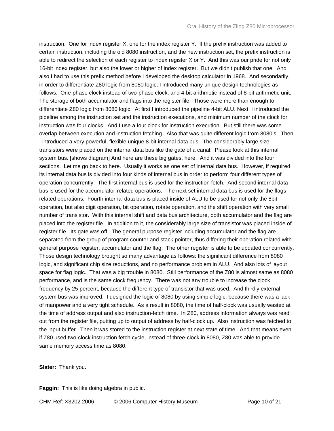instruction. One for index register X, one for the index register Y. If the prefix instruction was added to certain instruction, including the old 8080 instruction, and the new instruction set, the prefix instruction is able to redirect the selection of each register to index register X or Y. And this was our pride for not only 16-bit index register, but also the lower or higher of index register. But we didn't publish that one. And also I had to use this prefix method before I developed the desktop calculator in 1968. And secondarily, in order to differentiate Z80 logic from 8080 logic, I introduced many unique design technologies as follows. One-phase clock instead of two-phase clock, and 4-bit arithmetic instead of 8-bit arithmetic unit. The storage of both accumulator and flags into the register file. Those were more than enough to differentiate Z80 logic from 8080 logic. At first I introduced the pipeline 4-bit ALU. Next, I introduced the pipeline among the instruction set and the instruction executions, and minimum number of the clock for instruction was four clocks. And I use a four clock for instruction execution. But still there was some overlap between execution and instruction fetching. Also that was quite different logic from 8080's. Then I introduced a very powerful, flexible unique 8-bit internal data bus. The considerably large size transistors were placed on the internal data bus like the gate of a canal. Please look at this internal system bus. [shows diagram] And here are these big gates, here. And it was divided into the four sections. Let me go back to here. Usually it works as one set of internal data bus. However, if required its internal data bus is divided into four kinds of internal bus in order to perform four different types of operation concurrently. The first internal bus is used for the instruction fetch. And second internal data bus is used for the accumulator-related operations. The next set internal data bus is used for the flags related operations. Fourth internal data bus is placed inside of ALU to be used for not only the 8bit operation, but also digit operation, bit operation, rotate operation, and the shift operation with very small number of transistor. With this internal shift and data bus architecture, both accumulator and the flag are placed into the register file. In addition to it, the considerably large size of transistor was placed inside of register file. Its gate was off. The general purpose register including accumulator and the flag are separated from the group of program counter and stack pointer, thus differing their operation related with general purpose register, accumulator and the flag. The other register is able to be updated concurrently. Those design technology brought so many advantage as follows: the significant difference from 8080 logic, and significant chip size reductions, and no performance problem in ALU. And also lots of layout space for flag logic. That was a big trouble in 8080. Still performance of the Z80 is almost same as 8080 performance, and is the same clock frequency. There was not any trouble to increase the clock frequency by 25 percent, because the different type of transistor that was used. And thirdly external system bus was improved. I designed the logic of 8080 by using simple logic, because there was a lack of manpower and a very tight schedule. As a result in 8080, the time of half-clock was usually wasted at the time of address output and also instruction-fetch time. In Z80, address information always was read out from the register file, putting up to output of address by half-clock up. Also instruction was fetched to the input buffer. Then it was stored to the instruction register at next state of time. And that means even if Z80 used two-clock instruction fetch cycle, instead of three-clock in 8080, Z80 was able to provide same memory access time as 8080.

**Slater:** Thank you.

**Faggin:** This is like doing algebra in public.

CHM Ref: X3202.2006 © 2006 Computer History Museum Page 10 of 21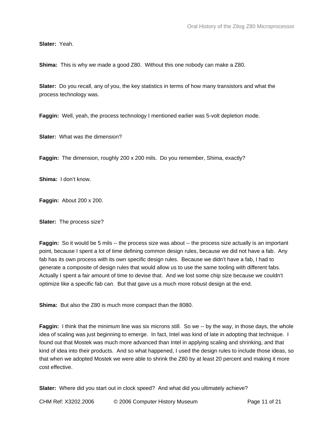**Slater:** Yeah.

**Shima:** This is why we made a good Z80. Without this one nobody can make a Z80.

**Slater:** Do you recall, any of you, the key statistics in terms of how many transistors and what the process technology was.

**Faggin:** Well, yeah, the process technology I mentioned earlier was 5-volt depletion mode.

**Slater:** What was the dimension?

**Faggin:** The dimension, roughly 200 x 200 mils. Do you remember, Shima, exactly?

**Shima:** I don't know.

**Faggin:** About 200 x 200.

**Slater:** The process size?

**Faggin:** So it would be 5 mils -- the process size was about -- the process size actually is an important point, because I spent a lot of time defining common design rules, because we did not have a fab. Any fab has its own process with its own specific design rules. Because we didn't have a fab, I had to generate a composite of design rules that would allow us to use the same tooling with different fabs. Actually I spent a fair amount of time to devise that. And we lost some chip size because we couldn't optimize like a specific fab can. But that gave us a much more robust design at the end.

**Shima:** But also the Z80 is much more compact than the 8080.

**Faggin:** I think that the minimum line was six microns still. So we -- by the way, in those days, the whole idea of scaling was just beginning to emerge. In fact, Intel was kind of late in adopting that technique. I found out that Mostek was much more advanced than Intel in applying scaling and shrinking, and that kind of idea into their products. And so what happened, I used the design rules to include those ideas, so that when we adopted Mostek we were able to shrink the Z80 by at least 20 percent and making it more cost effective.

**Slater:** Where did you start out in clock speed? And what did you ultimately achieve?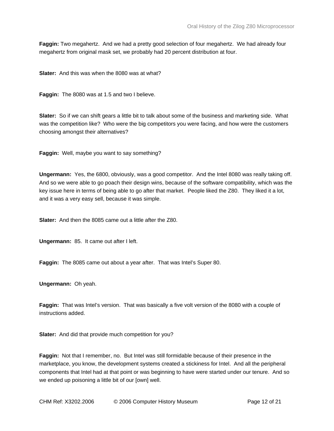**Faggin:** Two megahertz. And we had a pretty good selection of four megahertz. We had already four megahertz from original mask set, we probably had 20 percent distribution at four.

**Slater:** And this was when the 8080 was at what?

**Faggin:** The 8080 was at 1.5 and two I believe.

**Slater:** So if we can shift gears a little bit to talk about some of the business and marketing side. What was the competition like? Who were the big competitors you were facing, and how were the customers choosing amongst their alternatives?

**Faggin:** Well, maybe you want to say something?

**Ungermann:** Yes, the 6800, obviously, was a good competitor. And the Intel 8080 was really taking off. And so we were able to go poach their design wins, because of the software compatibility, which was the key issue here in terms of being able to go after that market. People liked the Z80. They liked it a lot, and it was a very easy sell, because it was simple.

**Slater:** And then the 8085 came out a little after the Z80.

**Ungermann:** 85. It came out after I left.

**Faggin:** The 8085 came out about a year after. That was Intel's Super 80.

**Ungermann:** Oh yeah.

**Faggin:** That was Intel's version. That was basically a five volt version of the 8080 with a couple of instructions added.

**Slater:** And did that provide much competition for you?

**Faggin:** Not that I remember, no. But Intel was still formidable because of their presence in the marketplace, you know, the development systems created a stickiness for Intel. And all the peripheral components that Intel had at that point or was beginning to have were started under our tenure. And so we ended up poisoning a little bit of our [own] well.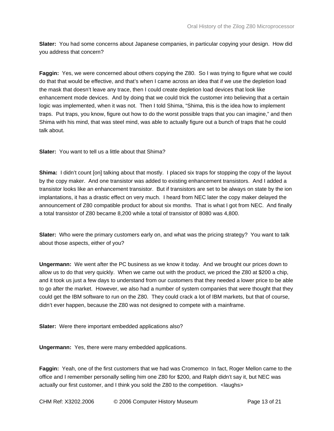**Slater:** You had some concerns about Japanese companies, in particular copying your design. How did you address that concern?

**Faggin:** Yes, we were concerned about others copying the Z80. So I was trying to figure what we could do that that would be effective, and that's when I came across an idea that if we use the depletion load the mask that doesn't leave any trace, then I could create depletion load devices that look like enhancement mode devices. And by doing that we could trick the customer into believing that a certain logic was implemented, when it was not. Then I told Shima, "Shima, this is the idea how to implement traps. Put traps, you know, figure out how to do the worst possible traps that you can imagine," and then Shima with his mind, that was steel mind, was able to actually figure out a bunch of traps that he could talk about.

**Slater:** You want to tell us a little about that Shima?

**Shima:** I didn't count [on] talking about that mostly. I placed six traps for stopping the copy of the layout by the copy maker. And one transistor was added to existing enhancement transistors. And I added a transistor looks like an enhancement transistor. But if transistors are set to be always on state by the ion implantations, it has a drastic effect on very much. I heard from NEC later the copy maker delayed the announcement of Z80 compatible product for about six months. That is what I got from NEC. And finally a total transistor of Z80 became 8,200 while a total of transistor of 8080 was 4,800.

**Slater:** Who were the primary customers early on, and what was the pricing strategy? You want to talk about those aspects, either of you?

**Ungermann:** We went after the PC business as we know it today. And we brought our prices down to allow us to do that very quickly. When we came out with the product, we priced the Z80 at \$200 a chip, and it took us just a few days to understand from our customers that they needed a lower price to be able to go after the market. However, we also had a number of system companies that were thought that they could get the IBM software to run on the Z80. They could crack a lot of IBM markets, but that of course, didn't ever happen, because the Z80 was not designed to compete with a mainframe.

**Slater:** Were there important embedded applications also?

**Ungermann:** Yes, there were many embedded applications.

**Faggin:** Yeah, one of the first customers that we had was Cromemco In fact, Roger Mellon came to the office and I remember personally selling him one Z80 for \$200, and Ralph didn't say it, but NEC was actually our first customer, and I think you sold the Z80 to the competition. <laughs>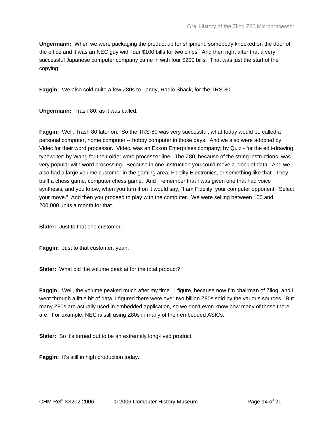**Ungermann:** When we were packaging the product up for shipment, somebody knocked on the door of the office and it was an NEC guy with four \$100 bills for two chips. And then right after that a very successful Japanese computer company came in with four \$200 bills. That was just the start of the copying.

**Faggin:** We also sold quite a few Z80s to Tandy, Radio Shack, for the TRS-80.

**Ungermann:** Trash 80, as it was called.

**Faggin:** Well, Trash 80 later on. So the TRS-80 was very successful, what today would be called a personal computer, home computer -- hobby computer in those days. And we also were adopted by Videc for their word processor. Videc, was an Exxon Enterprises company; by Quiz - for the edit-drawing typewriter; by Wang for their older word processor line. The Z80, because of the string instructions, was very popular with word processing. Because in one instruction you could move a block of data. And we also had a large volume customer in the gaming area, Fidelity Electronics, or something like that. They built a chess game, computer chess game. And I remember that I was given one that had voice synthesis, and you know, when you turn it on it would say, "I am Fidelity, your computer opponent. Select your move." And then you proceed to play with the computer. We were selling between 100 and 200,000 units a month for that.

**Slater:** Just to that one customer.

**Faggin:** Just to that customer, yeah.

**Slater:** What did the volume peak at for the total product?

**Faggin:** Well, the volume peaked much after my time. I figure, because now I'm chairman of Zilog, and I went through a little bit of data, I figured there were over two billion Z80s sold by the various sources. But many Z80s are actually used in embedded application, so we don't even know how many of those there are. For example, NEC is still using Z80s in many of their embedded ASICs.

**Slater:** So it's turned out to be an extremely long-lived product.

**Faggin:** It's still in high production today.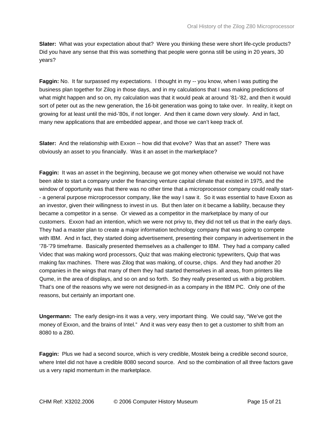**Slater:** What was your expectation about that? Were you thinking these were short life-cycle products? Did you have any sense that this was something that people were gonna still be using in 20 years, 30 years?

**Faggin:** No. It far surpassed my expectations. I thought in my -- you know, when I was putting the business plan together for Zilog in those days, and in my calculations that I was making predictions of what might happen and so on, my calculation was that it would peak at around '81-'82, and then it would sort of peter out as the new generation, the 16-bit generation was going to take over. In reality, it kept on growing for at least until the mid-'80s, if not longer. And then it came down very slowly. And in fact, many new applications that are embedded appear, and those we can't keep track of.

**Slater:** And the relationship with Exxon -- how did that evolve? Was that an asset? There was obviously an asset to you financially. Was it an asset in the marketplace?

**Faggin:** It was an asset in the beginning, because we got money when otherwise we would not have been able to start a company under the financing venture capital climate that existed in 1975, and the window of opportunity was that there was no other time that a microprocessor company could really start- - a general purpose microprocessor company, like the way I saw it. So it was essential to have Exxon as an investor, given their willingness to invest in us. But then later on it became a liability, because they became a competitor in a sense. Or viewed as a competitor in the marketplace by many of our customers. Exxon had an intention, which we were not privy to, they did not tell us that in the early days. They had a master plan to create a major information technology company that was going to compete with IBM. And in fact, they started doing advertisement, presenting their company in advertisement in the '78-'79 timeframe. Basically presented themselves as a challenger to IBM. They had a company called Videc that was making word processors, Quiz that was making electronic typewriters, Quip that was making fax machines. There was Zilog that was making, of course, chips. And they had another 20 companies in the wings that many of them they had started themselves in all areas, from printers like Qume, in the area of displays, and so on and so forth. So they really presented us with a big problem. That's one of the reasons why we were not designed-in as a company in the IBM PC. Only one of the reasons, but certainly an important one.

**Ungermann:** The early design-ins it was a very, very important thing. We could say, "We've got the money of Exxon, and the brains of Intel." And it was very easy then to get a customer to shift from an 8080 to a Z80.

**Faggin:** Plus we had a second source, which is very credible, Mostek being a credible second source, where Intel did not have a credible 8080 second source. And so the combination of all three factors gave us a very rapid momentum in the marketplace.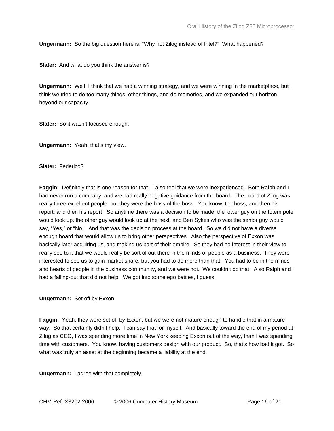**Ungermann:** So the big question here is, "Why not Zilog instead of Intel?" What happened?

**Slater:** And what do you think the answer is?

**Ungermann:** Well, I think that we had a winning strategy, and we were winning in the marketplace, but I think we tried to do too many things, other things, and do memories, and we expanded our horizon beyond our capacity.

**Slater:** So it wasn't focused enough.

**Ungermann:** Yeah, that's my view.

**Slater:** Federico?

**Faggin:** Definitely that is one reason for that. I also feel that we were inexperienced. Both Ralph and I had never run a company, and we had really negative guidance from the board. The board of Zilog was really three excellent people, but they were the boss of the boss. You know, the boss, and then his report, and then his report. So anytime there was a decision to be made, the lower guy on the totem pole would look up, the other guy would look up at the next, and Ben Sykes who was the senior guy would say, "Yes," or "No." And that was the decision process at the board. So we did not have a diverse enough board that would allow us to bring other perspectives. Also the perspective of Exxon was basically later acquiring us, and making us part of their empire. So they had no interest in their view to really see to it that we would really be sort of out there in the minds of people as a business. They were interested to see us to gain market share, but you had to do more than that. You had to be in the minds and hearts of people in the business community, and we were not. We couldn't do that. Also Ralph and I had a falling-out that did not help. We got into some ego battles, I guess.

**Ungermann:** Set off by Exxon.

**Faggin:** Yeah, they were set off by Exxon, but we were not mature enough to handle that in a mature way. So that certainly didn't help. I can say that for myself. And basically toward the end of my period at Zilog as CEO, I was spending more time in New York keeping Exxon out of the way, than I was spending time with customers. You know, having customers design with our product. So, that's how bad it got. So what was truly an asset at the beginning became a liability at the end.

**Ungermann:** I agree with that completely.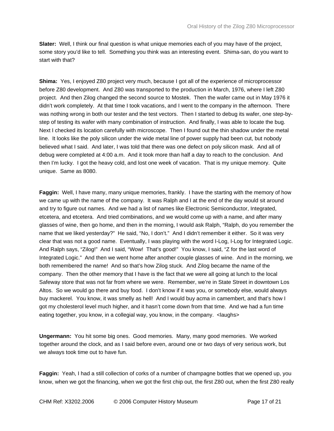**Slater:** Well, I think our final question is what unique memories each of you may have of the project, some story you'd like to tell. Something you think was an interesting event. Shima-san, do you want to start with that?

**Shima:** Yes, I enjoyed Z80 project very much, because I got all of the experience of microprocessor before Z80 development. And Z80 was transported to the production in March, 1976, where I left Z80 project. And then Zilog changed the second source to Mostek. Then the wafer came out in May 1976 it didn't work completely. At that time I took vacations, and I went to the company in the afternoon. There was nothing wrong in both our tester and the test vectors. Then I started to debug its wafer, one step-bystep of testing its wafer with many combination of instruction. And finally, I was able to locate the bug. Next I checked its location carefully with microscope. Then I found out the thin shadow under the metal line. It looks like the poly silicon under the wide metal line of power supply had been cut, but nobody believed what I said. And later, I was told that there was one defect on poly silicon mask. And all of debug were completed at 4:00 a.m. And it took more than half a day to reach to the conclusion. And then I'm lucky. I got the heavy cold, and lost one week of vacation. That is my unique memory. Quite unique. Same as 8080.

**Faggin:** Well, I have many, many unique memories, frankly. I have the starting with the memory of how we came up with the name of the company. It was Ralph and I at the end of the day would sit around and try to figure out names. And we had a list of names like Electronic Semiconductor, Integrated, etcetera, and etcetera. And tried combinations, and we would come up with a name, and after many glasses of wine, then go home, and then in the morning, I would ask Ralph, "Ralph, do you remember the name that we liked yesterday?" He said, "No, I don't." And I didn't remember it either. So it was very clear that was not a good name. Eventually, I was playing with the word I-Log, I-Log for Integrated Logic. And Ralph says, "Zilog!" And I said, "Wow! That's good!" You know, I said, "Z for the last word of Integrated Logic." And then we went home after another couple glasses of wine. And in the morning, we both remembered the name! And so that's how Zilog stuck. And Zilog became the name of the company. Then the other memory that I have is the fact that we were all going at lunch to the local Safeway store that was not far from where we were. Remember, we're in State Street in downtown Los Altos. So we would go there and buy food. I don't know if it was you, or somebody else, would always buy mackerel. You know, it was smelly as hell! And I would buy acma in camembert, and that's how I got my cholesterol level much higher, and it hasn't come down from that time. And we had a fun time eating together, you know, in a collegial way, you know, in the company. <laughs>

**Ungermann:** You hit some big ones. Good memories. Many, many good memories. We worked together around the clock, and as I said before even, around one or two days of very serious work, but we always took time out to have fun.

**Faggin:** Yeah, I had a still collection of corks of a number of champagne bottles that we opened up, you know, when we got the financing, when we got the first chip out, the first Z80 out, when the first Z80 really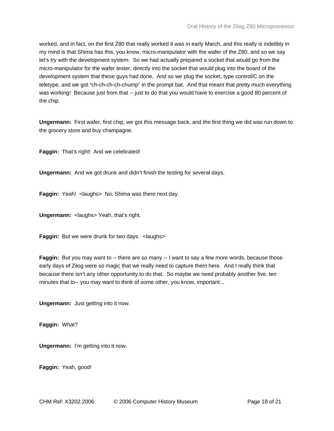worked, and in fact, on the first Z80 that really worked it was in early March, and this really is indelibly in my mind is that Shima has this, you know, micro-manipulator with the wafer of the Z80, and so we say let's try with the development system. So we had actually prepared a socket that would go from the micro-manipulator for the wafer tester, directly into the socket that would plug into the board of the development system that these guys had done. And so we plug the socket, type control/C on the teletype, and we got "ch-ch-ch-ch-chump" in the prompt bat. And that meant that pretty much everything was working! Because just from that -- just to do that you would have to exercise a good 80 percent of the chip.

**Ungermann:** First wafer, first chip, we got this message back, and the first thing we did was run down to the grocery store and buy champagne.

**Faggin:** That's right! And we celebrated!

**Ungermann:** And we got drunk and didn't finish the testing for several days.

**Faggin:** Yeah! < laughs> No, Shima was there next day.

**Ungermann:** <laughs> Yeah, that's right.

**Faggin:** But we were drunk for two days. < laughs>

**Faggin:** But you may want to -- there are so many -- I want to say a few more words, because those early days of Zilog were so magic that we really need to capture them here. And I really think that because there isn't any other opportunity to do that. So maybe we need probably another five, ten minutes that to-- you may want to think of some other, you know, important...

**Ungermann:** Just getting into it now.

**Faggin:** What?

**Ungermann:** I'm getting into it now.

**Faggin:** Yeah, good!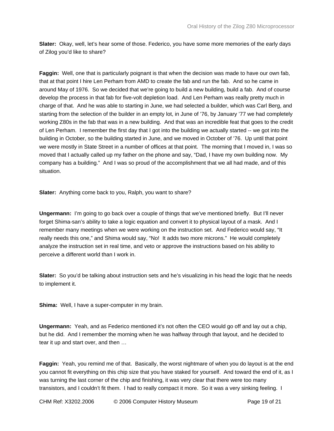**Slater:** Okay, well, let's hear some of those. Federico, you have some more memories of the early days of Zilog you'd like to share?

**Faggin:** Well, one that is particularly poignant is that when the decision was made to have our own fab, that at that point I hire Len Perham from AMD to create the fab and run the fab. And so he came in around May of 1976. So we decided that we're going to build a new building, build a fab. And of course develop the process in that fab for five-volt depletion load. And Len Perham was really pretty much in charge of that. And he was able to starting in June, we had selected a builder, which was Carl Berg, and starting from the selection of the builder in an empty lot, in June of '76, by January '77 we had completely working Z80s in the fab that was in a new building. And that was an incredible feat that goes to the credit of Len Perham. I remember the first day that I got into the building we actually started -- we got into the building in October, so the building started in June, and we moved in October of '76. Up until that point we were mostly in State Street in a number of offices at that point. The morning that I moved in, I was so moved that I actually called up my father on the phone and say, "Dad, I have my own building now. My company has a building." And I was so proud of the accomplishment that we all had made, and of this situation.

**Slater:** Anything come back to you, Ralph, you want to share?

**Ungermann:** I'm going to go back over a couple of things that we've mentioned briefly. But I'll never forget Shima-san's ability to take a logic equation and convert it to physical layout of a mask. And I remember many meetings when we were working on the instruction set. And Federico would say, "It really needs this one," and Shima would say, "No! It adds two more microns." He would completely analyze the instruction set in real time, and veto or approve the instructions based on his ability to perceive a different world than I work in.

**Slater:** So you'd be talking about instruction sets and he's visualizing in his head the logic that he needs to implement it.

**Shima:** Well, I have a super-computer in my brain.

**Ungermann:** Yeah, and as Federico mentioned it's not often the CEO would go off and lay out a chip, but he did. And I remember the morning when he was halfway through that layout, and he decided to tear it up and start over, and then …

**Faggin:** Yeah, you remind me of that. Basically, the worst nightmare of when you do layout is at the end you cannot fit everything on this chip size that you have staked for yourself. And toward the end of it, as I was turning the last corner of the chip and finishing, it was very clear that there were too many transistors, and I couldn't fit them. I had to really compact it more. So it was a very sinking feeling. I